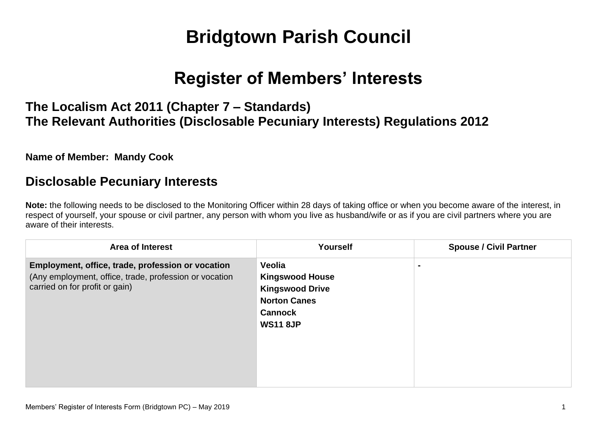# **Bridgtown Parish Council**

## **Register of Members' Interests**

## **The Localism Act 2011 (Chapter 7 – Standards) The Relevant Authorities (Disclosable Pecuniary Interests) Regulations 2012**

#### **Name of Member: Mandy Cook**

### **Disclosable Pecuniary Interests**

**Note:** the following needs to be disclosed to the Monitoring Officer within 28 days of taking office or when you become aware of the interest, in respect of yourself, your spouse or civil partner, any person with whom you live as husband/wife or as if you are civil partners where you are aware of their interests.

| <b>Area of Interest</b>                                                                                                                       | <b>Yourself</b>                                                                                                        | <b>Spouse / Civil Partner</b> |
|-----------------------------------------------------------------------------------------------------------------------------------------------|------------------------------------------------------------------------------------------------------------------------|-------------------------------|
| Employment, office, trade, profession or vocation<br>(Any employment, office, trade, profession or vocation<br>carried on for profit or gain) | Veolia<br><b>Kingswood House</b><br><b>Kingswood Drive</b><br><b>Norton Canes</b><br><b>Cannock</b><br><b>WS11 8JP</b> |                               |
|                                                                                                                                               |                                                                                                                        |                               |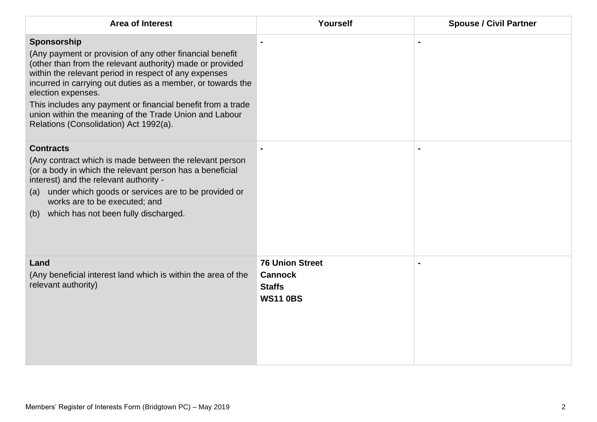| <b>Area of Interest</b>                                                                                                                                                                                                                                                                                                                                                                                                                               | Yourself                                                                     | <b>Spouse / Civil Partner</b> |
|-------------------------------------------------------------------------------------------------------------------------------------------------------------------------------------------------------------------------------------------------------------------------------------------------------------------------------------------------------------------------------------------------------------------------------------------------------|------------------------------------------------------------------------------|-------------------------------|
| Sponsorship<br>(Any payment or provision of any other financial benefit<br>(other than from the relevant authority) made or provided<br>within the relevant period in respect of any expenses<br>incurred in carrying out duties as a member, or towards the<br>election expenses.<br>This includes any payment or financial benefit from a trade<br>union within the meaning of the Trade Union and Labour<br>Relations (Consolidation) Act 1992(a). |                                                                              |                               |
| <b>Contracts</b><br>(Any contract which is made between the relevant person<br>(or a body in which the relevant person has a beneficial<br>interest) and the relevant authority -<br>under which goods or services are to be provided or<br>(a)<br>works are to be executed; and<br>which has not been fully discharged.<br>(b)                                                                                                                       |                                                                              |                               |
| Land<br>(Any beneficial interest land which is within the area of the<br>relevant authority)                                                                                                                                                                                                                                                                                                                                                          | <b>76 Union Street</b><br><b>Cannock</b><br><b>Staffs</b><br><b>WS11 0BS</b> |                               |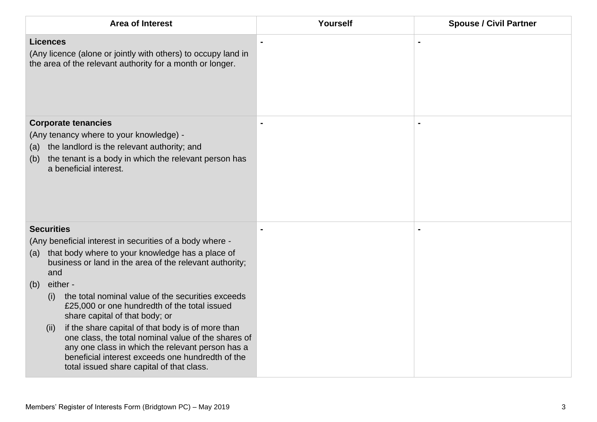| <b>Area of Interest</b>                                                                                                                                                                                                                                        | Yourself | <b>Spouse / Civil Partner</b> |
|----------------------------------------------------------------------------------------------------------------------------------------------------------------------------------------------------------------------------------------------------------------|----------|-------------------------------|
| <b>Licences</b><br>(Any licence (alone or jointly with others) to occupy land in<br>the area of the relevant authority for a month or longer.                                                                                                                  |          |                               |
| <b>Corporate tenancies</b><br>(Any tenancy where to your knowledge) -<br>the landlord is the relevant authority; and<br>(a)<br>the tenant is a body in which the relevant person has<br>(b)<br>a beneficial interest.                                          |          |                               |
| <b>Securities</b>                                                                                                                                                                                                                                              |          |                               |
| (Any beneficial interest in securities of a body where -<br>that body where to your knowledge has a place of<br>(a)<br>business or land in the area of the relevant authority;<br>and                                                                          |          |                               |
| either -<br>(b)                                                                                                                                                                                                                                                |          |                               |
| the total nominal value of the securities exceeds<br>(i)<br>£25,000 or one hundredth of the total issued<br>share capital of that body; or<br>if the share capital of that body is of more than<br>(ii)<br>one class, the total nominal value of the shares of |          |                               |
| any one class in which the relevant person has a<br>beneficial interest exceeds one hundredth of the<br>total issued share capital of that class.                                                                                                              |          |                               |